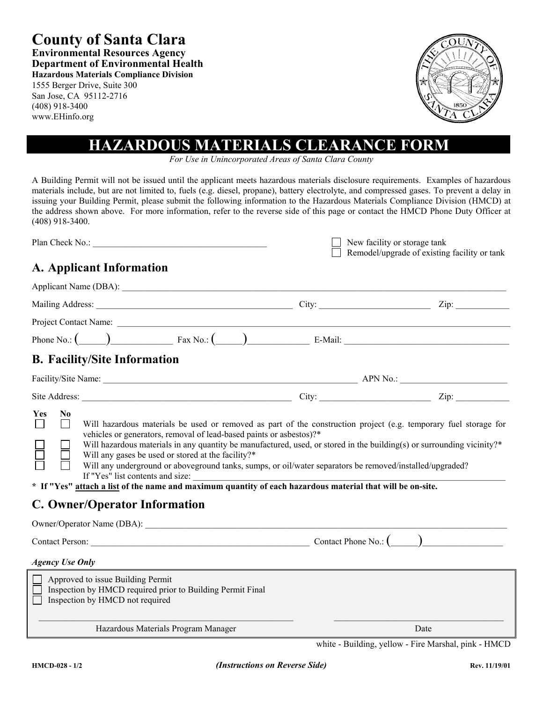**County of Santa Clara Environmental Resources Agency Department of Environmental Health Hazardous Materials Compliance Division**

1555 Berger Drive, Suite 300 San Jose, CA 95112-2716 (408) 918-3400 www.EHinfo.org



# **HAZARDOUS MATERIALS CLEARANCE FORM**

*For Use in Unincorporated Areas of Santa Clara County*

A Building Permit will not be issued until the applicant meets hazardous materials disclosure requirements. Examples of hazardous materials include, but are not limited to, fuels (e.g. diesel, propane), battery electrolyte, and compressed gases. To prevent a delay in issuing your Building Permit, please submit the following information to the Hazardous Materials Compliance Division (HMCD) at the address shown above. For more information, refer to the reverse side of this page or contact the HMCD Phone Duty Officer at (408) 918-3400.

| Plan Check No.: | $\Box$ New facility or storage tank          |
|-----------------|----------------------------------------------|
|                 | Remodel/upgrade of existing facility or tank |
|                 |                                              |

# **A. Applicant Information**

|                                     |                                 |                                                                                                                                                                   |                                                                                                                                                                                     | Phone No.: $\begin{pmatrix} 0 & \cdots & 0 \end{pmatrix}$ Fax No.: $\begin{pmatrix} 0 & \cdots & 0 \end{pmatrix}$ E-Mail: E-Mail:                                                                                                                                                                                                                      |  |
|-------------------------------------|---------------------------------|-------------------------------------------------------------------------------------------------------------------------------------------------------------------|-------------------------------------------------------------------------------------------------------------------------------------------------------------------------------------|--------------------------------------------------------------------------------------------------------------------------------------------------------------------------------------------------------------------------------------------------------------------------------------------------------------------------------------------------------|--|
| <b>B. Facility/Site Information</b> |                                 |                                                                                                                                                                   |                                                                                                                                                                                     |                                                                                                                                                                                                                                                                                                                                                        |  |
|                                     |                                 |                                                                                                                                                                   |                                                                                                                                                                                     |                                                                                                                                                                                                                                                                                                                                                        |  |
|                                     |                                 |                                                                                                                                                                   |                                                                                                                                                                                     |                                                                                                                                                                                                                                                                                                                                                        |  |
| N <sub>0</sub><br>Yes<br>$\perp$    |                                 | vehicles or generators, removal of lead-based paints or asbestos)?*<br>Will any gases be used or stored at the facility?*<br><b>C. Owner/Operator Information</b> | If "Yes" list contents and size:<br>* If "Yes" <u>attach a list</u> of the name and maximum quantity of each hazardous material that will be on-site.<br>Owner/Operator Name (DBA): | Will hazardous materials be used or removed as part of the construction project (e.g. temporary fuel storage for<br>Will hazardous materials in any quantity be manufactured, used, or stored in the building(s) or surrounding vicinity?*<br>Will any underground or aboveground tanks, sumps, or oil/water separators be removed/installed/upgraded? |  |
|                                     |                                 |                                                                                                                                                                   |                                                                                                                                                                                     |                                                                                                                                                                                                                                                                                                                                                        |  |
| <b>Agency Use Only</b>              |                                 |                                                                                                                                                                   |                                                                                                                                                                                     |                                                                                                                                                                                                                                                                                                                                                        |  |
| Approved to issue Building Permit   | Inspection by HMCD not required | Inspection by HMCD required prior to Building Permit Final                                                                                                        |                                                                                                                                                                                     |                                                                                                                                                                                                                                                                                                                                                        |  |
| Hazardous Materials Program Manager |                                 |                                                                                                                                                                   |                                                                                                                                                                                     | Date                                                                                                                                                                                                                                                                                                                                                   |  |
|                                     |                                 |                                                                                                                                                                   |                                                                                                                                                                                     | white - Building, yellow - Fire Marshal, pink - HMCD                                                                                                                                                                                                                                                                                                   |  |